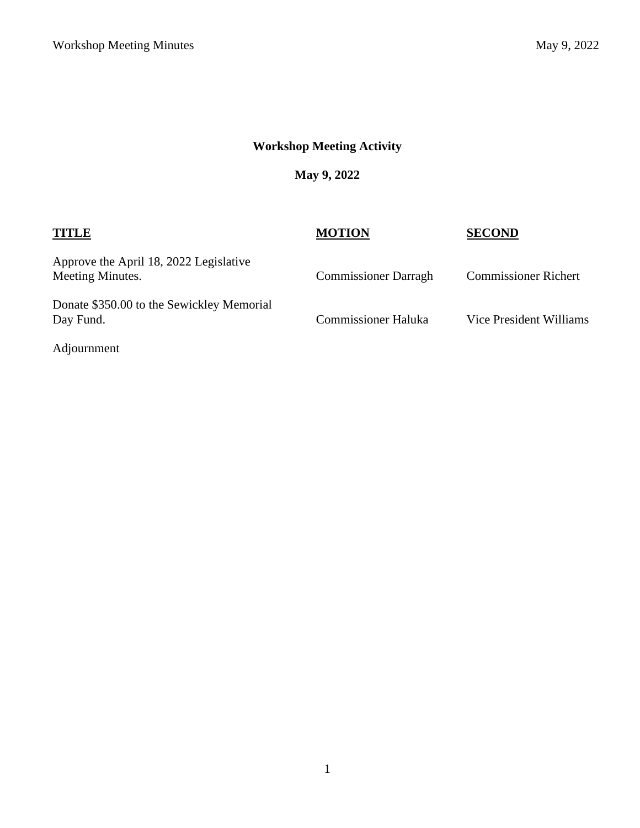# **Workshop Meeting Activity**

**May 9, 2022**

# **TITLE MOTION SECOND** Approve the April 18, 2022 Legislative Commissioner Darragh Commissioner Richert Donate \$350.00 to the Sewickley Memorial Commissioner Haluka Vice President Williams

Adjournment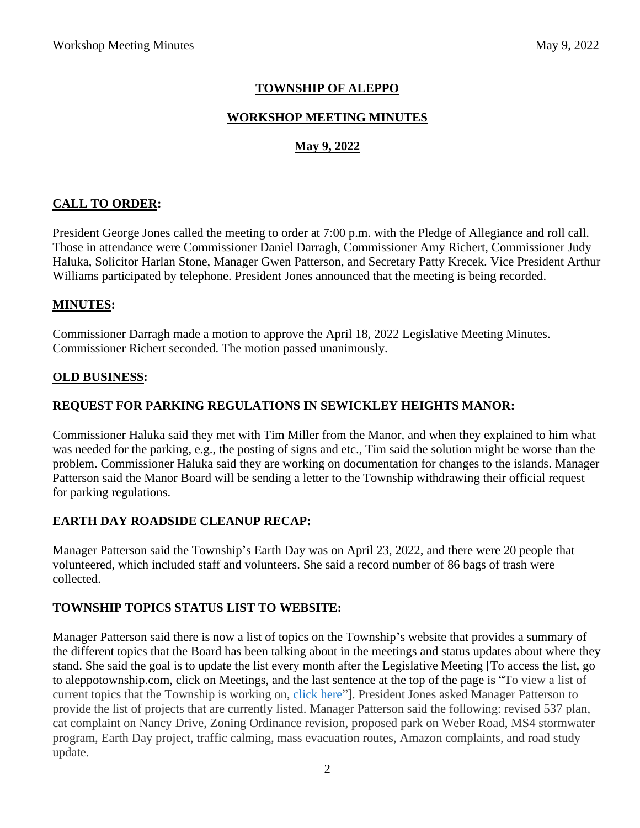# **TOWNSHIP OF ALEPPO**

### **WORKSHOP MEETING MINUTES**

## **May 9, 2022**

### **CALL TO ORDER:**

President George Jones called the meeting to order at 7:00 p.m. with the Pledge of Allegiance and roll call. Those in attendance were Commissioner Daniel Darragh, Commissioner Amy Richert, Commissioner Judy Haluka, Solicitor Harlan Stone, Manager Gwen Patterson, and Secretary Patty Krecek. Vice President Arthur Williams participated by telephone. President Jones announced that the meeting is being recorded.

### **MINUTES:**

Commissioner Darragh made a motion to approve the April 18, 2022 Legislative Meeting Minutes. Commissioner Richert seconded. The motion passed unanimously.

#### **OLD BUSINESS:**

## **REQUEST FOR PARKING REGULATIONS IN SEWICKLEY HEIGHTS MANOR:**

Commissioner Haluka said they met with Tim Miller from the Manor, and when they explained to him what was needed for the parking, e.g., the posting of signs and etc., Tim said the solution might be worse than the problem. Commissioner Haluka said they are working on documentation for changes to the islands. Manager Patterson said the Manor Board will be sending a letter to the Township withdrawing their official request for parking regulations.

#### **EARTH DAY ROADSIDE CLEANUP RECAP:**

Manager Patterson said the Township's Earth Day was on April 23, 2022, and there were 20 people that volunteered, which included staff and volunteers. She said a record number of 86 bags of trash were collected.

## **TOWNSHIP TOPICS STATUS LIST TO WEBSITE:**

Manager Patterson said there is now a list of topics on the Township's website that provides a summary of the different topics that the Board has been talking about in the meetings and status updates about where they stand. She said the goal is to update the list every month after the Legislative Meeting [To access the list, go to aleppotownship.com, click on Meetings, and the last sentence at the top of the page is "To view a list of current topics that the Township is working on, [click](https://aleppotownship.com/wp-content/uploads/Topic-List-for-website-April-2022.pdf) here"]. President Jones asked Manager Patterson to provide the list of projects that are currently listed. Manager Patterson said the following: revised 537 plan, cat complaint on Nancy Drive, Zoning Ordinance revision, proposed park on Weber Road, MS4 stormwater program, Earth Day project, traffic calming, mass evacuation routes, Amazon complaints, and road study update.